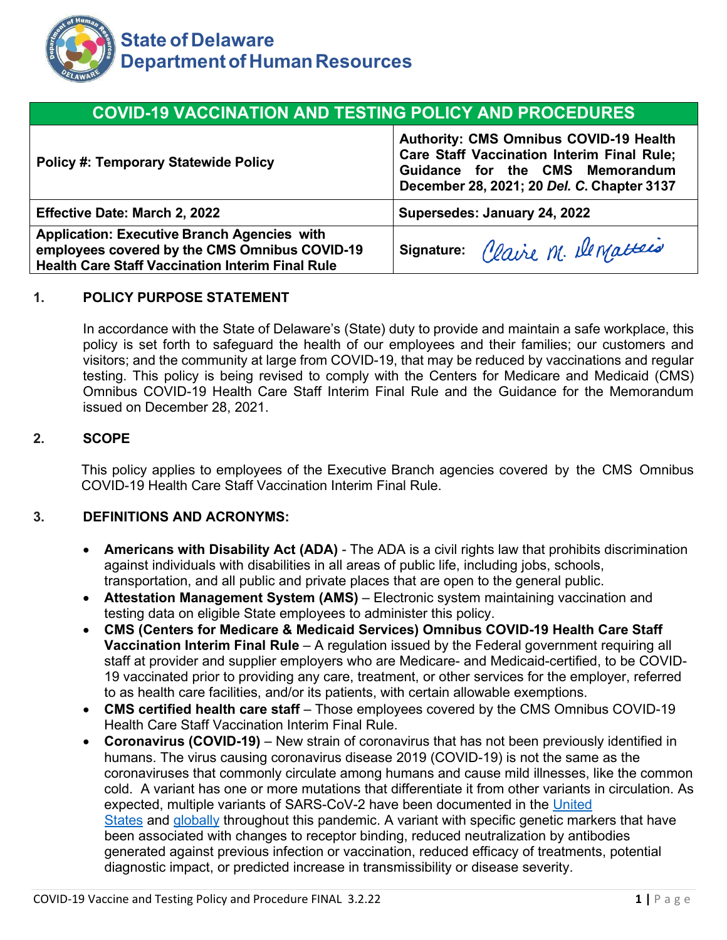

# **COVID-19 VACCINATION AND TESTING POLICY AND PROCEDURES**

| <b>Policy #: Temporary Statewide Policy</b>                                                                                                                    | <b>Authority: CMS Omnibus COVID-19 Health</b><br><b>Care Staff Vaccination Interim Final Rule;</b><br>Guidance for the CMS Memorandum<br>December 28, 2021; 20 Del. C. Chapter 3137 |
|----------------------------------------------------------------------------------------------------------------------------------------------------------------|-------------------------------------------------------------------------------------------------------------------------------------------------------------------------------------|
| <b>Effective Date: March 2, 2022</b>                                                                                                                           | Supersedes: January 24, 2022                                                                                                                                                        |
| <b>Application: Executive Branch Agencies with</b><br>employees covered by the CMS Omnibus COVID-19<br><b>Health Care Staff Vaccination Interim Final Rule</b> | Signature: Claire M. Dematteis                                                                                                                                                      |

### **1. POLICY PURPOSE STATEMENT**

In accordance with the State of Delaware's (State) duty to provide and maintain a safe workplace, this policy is set forth to safeguard the health of our employees and their families; our customers and visitors; and the community at large from COVID-19, that may be reduced by vaccinations and regular testing. This policy is being revised to comply with the Centers for Medicare and Medicaid (CMS) Omnibus COVID-19 Health Care Staff Interim Final Rule and the Guidance for the Memorandum issued on December 28, 2021.

### **2. SCOPE**

This policy applies to employees of the Executive Branch agencies covered by the CMS Omnibus COVID-19 Health Care Staff Vaccination Interim Final Rule.

#### **3. DEFINITIONS AND ACRONYMS:**

- **Americans with Disability Act (ADA)** The ADA is a civil rights law that prohibits discrimination against individuals with disabilities in all areas of public life, including jobs, schools, transportation, and all public and private places that are open to the general public.
- **Attestation Management System (AMS)** Electronic system maintaining vaccination and testing data on eligible State employees to administer this policy.
- **CMS (Centers for Medicare & Medicaid Services) Omnibus COVID-19 Health Care Staff Vaccination Interim Final Rule** – A regulation issued by the Federal government requiring all staff at provider and supplier employers who are Medicare- and Medicaid-certified, to be COVID-19 vaccinated prior to providing any care, treatment, or other services for the employer, referred to as health care facilities, and/or its patients, with certain allowable exemptions.
- **CMS certified health care staff**  Those employees covered by the CMS Omnibus COVID-19 Health Care Staff Vaccination Interim Final Rule.
- **Coronavirus (COVID-19)** New strain of coronavirus that has not been previously identified in humans. The virus causing coronavirus disease 2019 (COVID-19) is not the same as the coronaviruses that commonly circulate among humans and cause mild illnesses, like the common cold. A variant has one or more mutations that differentiate it from other variants in circulation. As expected, multiple variants of SARS-CoV-2 have been documented in the [United](https://covid.cdc.gov/covid-data-tracker/#variant-proportions) [States](https://covid.cdc.gov/covid-data-tracker/#variant-proportions) and [globally](https://covid.cdc.gov/covid-data-tracker/#global-variant-report-map) throughout this pandemic. A variant with specific genetic markers that have been associated with changes to receptor binding, reduced neutralization by antibodies generated against previous infection or vaccination, reduced efficacy of treatments, potential diagnostic impact, or predicted increase in transmissibility or disease severity.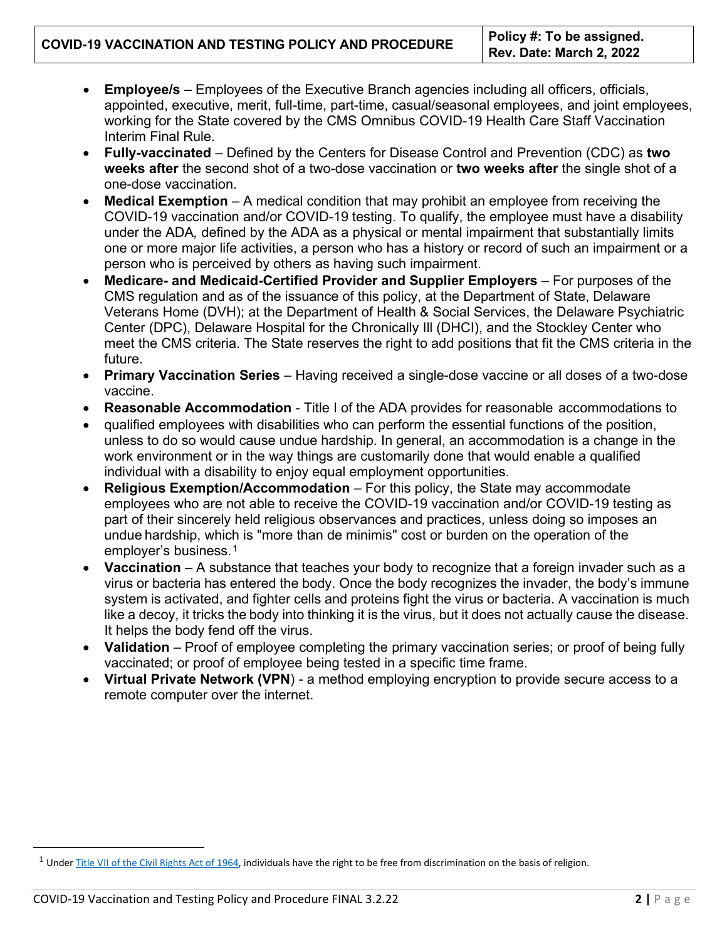# **COVID-19 VACCINATION AND TESTING POLICY AND PROCEDURE Policy #: To be assigned.**

- **Employee/s** Employees of the Executive Branch agencies including all officers, officials, appointed, executive, merit, full-time, part-time, casual/seasonal employees, and joint employees, working for the State covered by the CMS Omnibus COVID-19 Health Care Staff Vaccination Interim Final Rule.
- **Fully-vaccinated** Defined by the Centers for Disease Control and Prevention (CDC) as **two weeks after** the second shot of a two-dose vaccination or **two weeks after** the single shot of a one-dose vaccination.
- **Medical Exemption** A medical condition that may prohibit an employee from receiving the COVID-19 vaccination and/or COVID-19 testing. To qualify, the employee must have a disability under the ADA*,* defined by the ADA as a physical or mental impairment that substantially limits one or more major life activities, a person who has a history or record of such an impairment or a person who is perceived by others as having such impairment.
- **Medicare- and Medicaid-Certified Provider and Supplier Employers** For purposes of the CMS regulation and as of the issuance of this policy, at the Department of State, Delaware Veterans Home (DVH); at the Department of Health & Social Services, the Delaware Psychiatric Center (DPC), Delaware Hospital for the Chronically Ill (DHCI), and the Stockley Center who meet the CMS criteria. The State reserves the right to add positions that fit the CMS criteria in the future.
- **Primary Vaccination Series** Having received a single-dose vaccine or all doses of a two-dose vaccine.
- **Reasonable Accommodation** Title I of the ADA provides for reasonable accommodations to
- qualified employees with disabilities who can perform the essential functions of the position, unless to do so would cause undue hardship. In general, an accommodation is a change in the work environment or in the way things are customarily done that would enable a qualified individual with a disability to enjoy equal employment opportunities.
- **Religious Exemption/Accommodation** For this policy, the State may accommodate employees who are not able to receive the COVID-19 vaccination and/or COVID-19 testing as part of their sincerely held religious observances and practices, unless doing so imposes an undue hardship, which is "more than de minimis" cost or burden on the operation of the employer's business.<sup>[1](#page-1-0)</sup>
- **Vaccination** A substance that teaches your body to recognize that a foreign invader such as a virus or bacteria has entered the body. Once the body recognizes the invader, the body's immune system is activated, and fighter cells and proteins fight the virus or bacteria. A vaccination is much like a decoy, it tricks the body into thinking it is the virus, but it does not actually cause the disease. It helps the body fend off the virus.
- **Validation** Proof of employee completing the primary vaccination series; or proof of being fully vaccinated; or proof of employee being tested in a specific time frame.
- **Virtual Private Network (VPN**) a method employing encryption to provide secure access to a remote computer over the internet.

<span id="page-1-0"></span><sup>&</sup>lt;sup>1</sup> Under [Title VII of the Civil Rights Act of 1964, in](https://www.eeoc.gov/statutes/title-vii-civil-rights-act-1964)dividuals have the right to be free from discrimination on the basis of religion.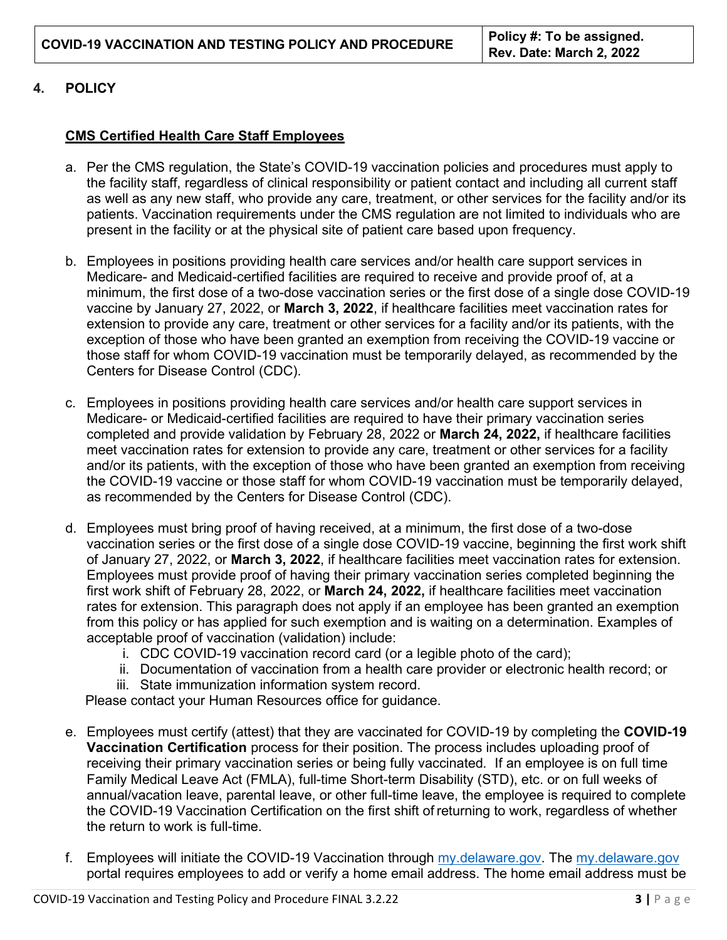# **4. POLICY**

# **CMS Certified Health Care Staff Employees**

- a. Per the CMS regulation, the State's COVID-19 vaccination policies and procedures must apply to the facility staff, regardless of clinical responsibility or patient contact and including all current staff as well as any new staff, who provide any care, treatment, or other services for the facility and/or its patients. Vaccination requirements under the CMS regulation are not limited to individuals who are present in the facility or at the physical site of patient care based upon frequency.
- b. Employees in positions providing health care services and/or health care support services in Medicare- and Medicaid-certified facilities are required to receive and provide proof of, at a minimum, the first dose of a two-dose vaccination series or the first dose of a single dose COVID-19 vaccine by January 27, 2022, or **March 3, 2022**, if healthcare facilities meet vaccination rates for extension to provide any care, treatment or other services for a facility and/or its patients, with the exception of those who have been granted an exemption from receiving the COVID-19 vaccine or those staff for whom COVID-19 vaccination must be temporarily delayed, as recommended by the Centers for Disease Control (CDC).
- c. Employees in positions providing health care services and/or health care support services in Medicare- or Medicaid-certified facilities are required to have their primary vaccination series completed and provide validation by February 28, 2022 or **March 24, 2022,** if healthcare facilities meet vaccination rates for extension to provide any care, treatment or other services for a facility and/or its patients, with the exception of those who have been granted an exemption from receiving the COVID-19 vaccine or those staff for whom COVID-19 vaccination must be temporarily delayed, as recommended by the Centers for Disease Control (CDC).
- d. Employees must bring proof of having received, at a minimum, the first dose of a two-dose vaccination series or the first dose of a single dose COVID-19 vaccine, beginning the first work shift of January 27, 2022, or **March 3, 2022**, if healthcare facilities meet vaccination rates for extension. Employees must provide proof of having their primary vaccination series completed beginning the first work shift of February 28, 2022, or **March 24, 2022,** if healthcare facilities meet vaccination rates for extension. This paragraph does not apply if an employee has been granted an exemption from this policy or has applied for such exemption and is waiting on a determination. Examples of acceptable proof of vaccination (validation) include:
	- i. CDC COVID-19 vaccination record card (or a legible photo of the card);
	- ii. Documentation of vaccination from a health care provider or electronic health record; or
	- iii. State immunization information system record.

Please contact your Human Resources office for guidance.

- e. Employees must certify (attest) that they are vaccinated for COVID-19 by completing the **COVID-19 Vaccination Certification** process for their position. The process includes uploading proof of receiving their primary vaccination series or being fully vaccinated*.* If an employee is on full time Family Medical Leave Act (FMLA), full-time Short-term Disability (STD), etc. or on full weeks of annual/vacation leave, parental leave, or other full-time leave, the employee is required to complete the COVID-19 Vaccination Certification on the first shift of returning to work, regardless of whether the return to work is full-time.
- f. Employees will initiate the COVID-19 Vaccination through [my.delaware.gov.](https://my.delaware.gov/) The [my.delaware.gov](https://my.delaware.gov/) portal requires employees to add or verify a home email address. The home email address must be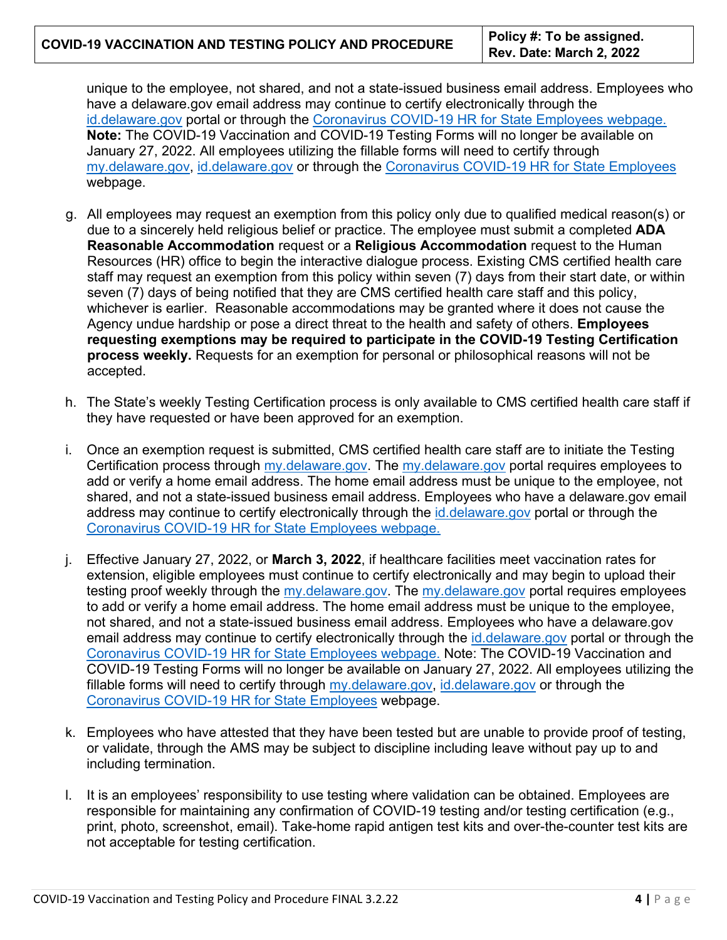unique to the employee, not shared, and not a state-issued business email address. Employees who have a delaware.gov email address may continue to certify electronically through the [id.delaware.gov](https://deld.okta.com/login/default?fromURI=%2flogin%2flogin.htm) portal or through the [Coronavirus COVID-19 HR for State Employees webpage.](https://dhr.delaware.gov/covid19/index.shtml) **Note:** The COVID-19 Vaccination and COVID-19 Testing Forms will no longer be available on January 27, 2022. All employees utilizing the fillable forms will need to certify through [my.delaware.gov,](https://my.delaware.gov/) [id.delaware.gov](https://deld.okta.com/login/default?fromURI=%2flogin%2flogin.htm) or through the [Coronavirus COVID-19 HR for State Employees](https://dhr.delaware.gov/covid19/index.shtml) webpage.

- g. All employees may request an exemption from this policy only due to qualified medical reason(s) or due to a sincerely held religious belief or practice. The employee must submit a completed **ADA Reasonable Accommodation** request or a **Religious Accommodation** request to the Human Resources (HR) office to begin the interactive dialogue process. Existing CMS certified health care staff may request an exemption from this policy within seven (7) days from their start date, or within seven (7) days of being notified that they are CMS certified health care staff and this policy, whichever is earlier. Reasonable accommodations may be granted where it does not cause the Agency undue hardship or pose a direct threat to the health and safety of others. **Employees requesting exemptions may be required to participate in the COVID-19 Testing Certification process weekly.** Requests for an exemption for personal or philosophical reasons will not be accepted.
- h. The State's weekly Testing Certification process is only available to CMS certified health care staff if they have requested or have been approved for an exemption.
- i. Once an exemption request is submitted, CMS certified health care staff are to initiate the Testing Certification process through [my.delaware.gov.](https://my.delaware.gov/) The [my.delaware.gov](https://my.delaware.gov/) portal requires employees to add or verify a home email address. The home email address must be unique to the employee, not shared, and not a state-issued business email address. Employees who have a delaware.gov email address may continue to certify electronically through the [id.delaware.gov](https://deld.okta.com/login/default?fromURI=%2flogin%2flogin.htm) portal or through the [Coronavirus COVID-19 HR for State Employees webpage.](https://dhr.delaware.gov/covid19/index.shtml)
- j. Effective January 27, 2022, or **March 3, 2022**, if healthcare facilities meet vaccination rates for extension, eligible employees must continue to certify electronically and may begin to upload their testing proof weekly through the [my.delaware.gov.](https://my.delaware.gov/) The [my.delaware.gov](https://my.delaware.gov/) portal requires employees to add or verify a home email address. The home email address must be unique to the employee, not shared, and not a state-issued business email address. Employees who have a delaware.gov email address may continue to certify electronically through the [id.delaware.gov](https://deld.okta.com/login/default?fromURI=%2flogin%2flogin.htm) portal or through the [Coronavirus COVID-19 HR for State Employees webpage.](https://dhr.delaware.gov/covid19/index.shtml) Note: The COVID-19 Vaccination and COVID-19 Testing Forms will no longer be available on January 27, 2022. All employees utilizing the fillable forms will need to certify through [my.delaware.gov,](https://my.delaware.gov/) [id.delaware.gov](https://deld.okta.com/login/default?fromURI=%2flogin%2flogin.htm) or through the [Coronavirus COVID-19 HR for State Employees](https://dhr.delaware.gov/covid19/index.shtml) webpage.
- k. Employees who have attested that they have been tested but are unable to provide proof of testing, or validate, through the AMS may be subject to discipline including leave without pay up to and including termination.
- l. It is an employees' responsibility to use testing where validation can be obtained. Employees are responsible for maintaining any confirmation of COVID-19 testing and/or testing certification (e.g., print, photo, screenshot, email). Take-home rapid antigen test kits and over-the-counter test kits are not acceptable for testing certification.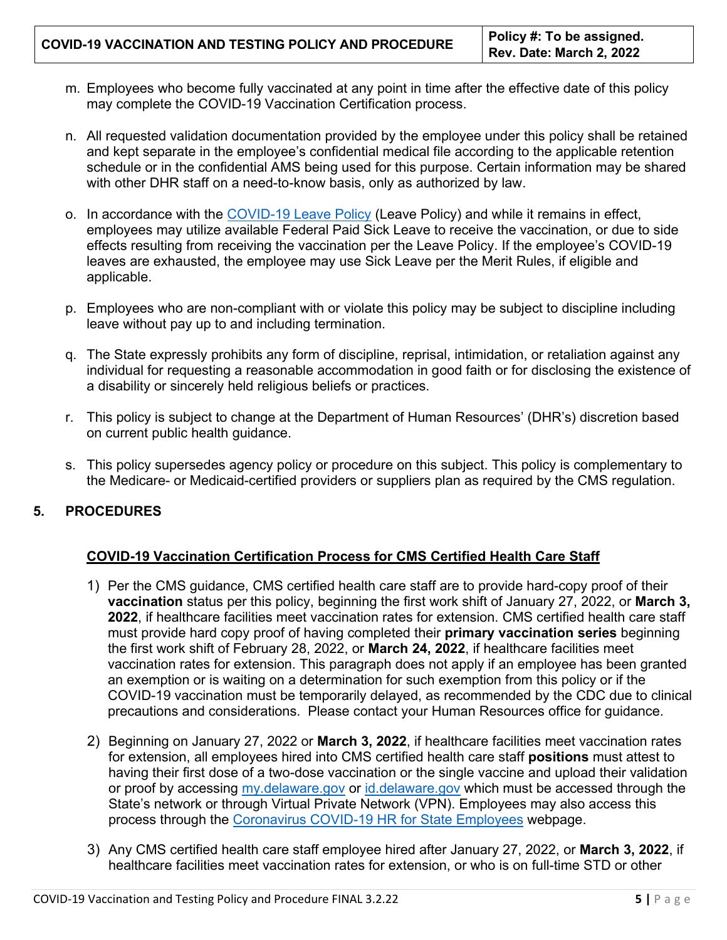- m. Employees who become fully vaccinated at any point in time after the effective date of this policy may complete the COVID-19 Vaccination Certification process.
- n. All requested validation documentation provided by the employee under this policy shall be retained and kept separate in the employee's confidential medical file according to the applicable retention schedule or in the confidential AMS being used for this purpose. Certain information may be shared with other DHR staff on a need-to-know basis, only as authorized by law.
- o. In accordance with the [COVID-19 Leave Policy](https://dhr.delaware.gov/policies/documents/covid19-policy.pdf) (Leave Policy) and while it remains in effect, employees may utilize available Federal Paid Sick Leave to receive the vaccination, or due to side effects resulting from receiving the vaccination per the Leave Policy. If the employee's COVID-19 leaves are exhausted, the employee may use Sick Leave per the Merit Rules, if eligible and applicable.
- p. Employees who are non-compliant with or violate this policy may be subject to discipline including leave without pay up to and including termination.
- q. The State expressly prohibits any form of discipline, reprisal, intimidation, or retaliation against any individual for requesting a reasonable accommodation in good faith or for disclosing the existence of a disability or sincerely held religious beliefs or practices.
- r. This policy is subject to change at the Department of Human Resources' (DHR's) discretion based on current public health guidance.
- s. This policy supersedes agency policy or procedure on this subject. This policy is complementary to the Medicare- or Medicaid-certified providers or suppliers plan as required by the CMS regulation.

# **5. PROCEDURES**

# **COVID-19 Vaccination Certification Process for CMS Certified Health Care Staff**

- 1) Per the CMS guidance, CMS certified health care staff are to provide hard-copy proof of their **vaccination** status per this policy, beginning the first work shift of January 27, 2022, or **March 3, 2022**, if healthcare facilities meet vaccination rates for extension. CMS certified health care staff must provide hard copy proof of having completed their **primary vaccination series** beginning the first work shift of February 28, 2022, or **March 24, 2022**, if healthcare facilities meet vaccination rates for extension. This paragraph does not apply if an employee has been granted an exemption or is waiting on a determination for such exemption from this policy or if the COVID-19 vaccination must be temporarily delayed, as recommended by the CDC due to clinical precautions and considerations. Please contact your Human Resources office for guidance.
- 2) Beginning on January 27, 2022 or **March 3, 2022**, if healthcare facilities meet vaccination rates for extension, all employees hired into CMS certified health care staff **positions** must attest to having their first dose of a two-dose vaccination or the single vaccine and upload their validation or proof by accessing [my.delaware.gov](https://my.delaware.gov/) or [id.delaware.gov](https://deld.okta.com/login/default?fromURI=%2flogin%2flogin.htm) which must be accessed through the State's network or through Virtual Private Network (VPN). Employees may also access this process through the [Coronavirus COVID-19 HR for State Employees](https://dhr.delaware.gov/covid19/index.shtml) webpage.
- 3) Any CMS certified health care staff employee hired after January 27, 2022, or **March 3, 2022**, if healthcare facilities meet vaccination rates for extension, or who is on full-time STD or other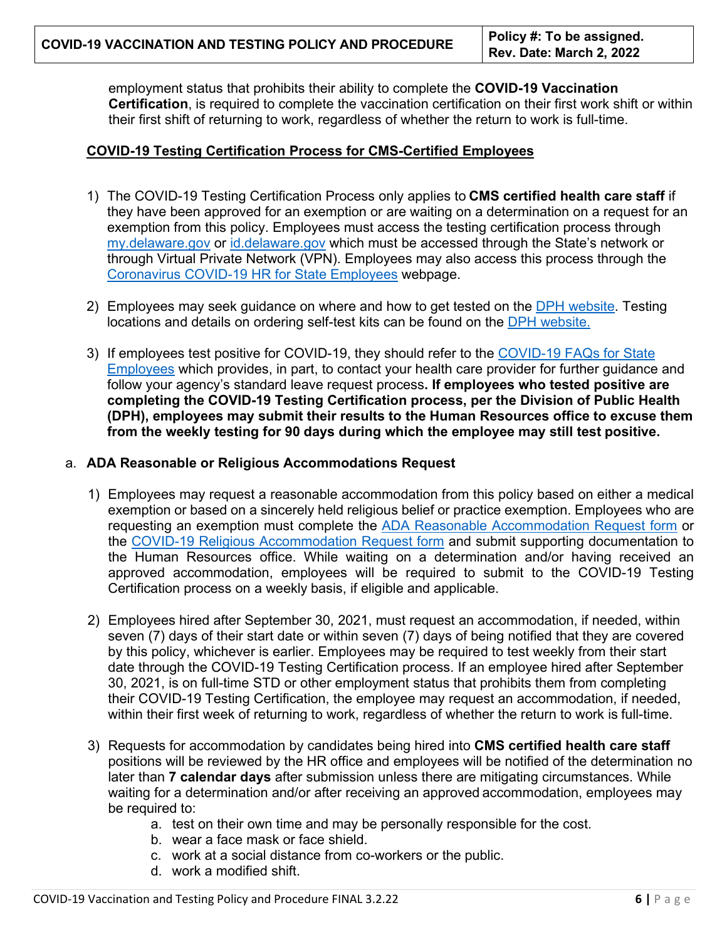employment status that prohibits their ability to complete the **COVID-19 Vaccination Certification**, is required to complete the vaccination certification on their first work shift or within their first shift of returning to work, regardless of whether the return to work is full-time.

# **COVID-19 Testing Certification Process for CMS-Certified Employees**

- 1) The COVID-19 Testing Certification Process only applies to **CMS certified health care staff** if they have been approved for an exemption or are waiting on a determination on a request for an exemption from this policy. Employees must access the testing certification process through [my.delaware.gov](https://my.delaware.gov/) or [id.delaware.gov](https://deld.okta.com/login/default?fromURI=%2flogin%2flogin.htm) which must be accessed through the State's network or through Virtual Private Network (VPN). Employees may also access this process through the [Coronavirus COVID-19 HR for State Employees](https://dhr.delaware.gov/covid19/index.shtml) webpage.
- 2) Employees may seek guidance on where and how to get tested on the [DPH website.](https://coronavirus.delaware.gov/testing/) Testing locations and details on ordering self-test kits can be found on the [DPH website.](https://coronavirus.delaware.gov/testing/)
- 3) If employees test positive for COVID-19, they should refer to the [COVID-19 FAQs for State](https://dhr.delaware.gov/personnel/faq/DHR-COVID19-FAQ-StateofDelaware.pdf)  [Employees](https://dhr.delaware.gov/personnel/faq/DHR-COVID19-FAQ-StateofDelaware.pdf) which provides, in part, to contact your health care provider for further guidance and follow your agency's standard leave request process**. If employees who tested positive are completing the COVID-19 Testing Certification process, per the Division of Public Health (DPH), employees may submit their results to the Human Resources office to excuse them from the weekly testing for 90 days during which the employee may still test positive.**

# a. **ADA Reasonable or Religious Accommodations Request**

- 1) Employees may request a reasonable accommodation from this policy based on either a medical exemption or based on a sincerely held religious belief or practice exemption. Employees who are requesting an exemption must complete the [ADA Reasonable](https://dhr.delaware.gov/policies/documents/ada-reasonable-accommodation-request-form.pdf) [Accommodation Request form](https://dhr.delaware.gov/policies/documents/ada-reasonable-accommodation-request-form.pdf) or the [COVID-19 Religious Accommodation Request form](https://dhr.delaware.gov/policies/documents/covid19-religious-accomodation-reqform.pdf) and submit supporting documentation to the Human Resources office. While waiting on a determination and/or having received an approved accommodation, employees will be required to submit to the COVID-19 Testing Certification process on a weekly basis, if eligible and applicable.
- 2) Employees hired after September 30, 2021, must request an accommodation, if needed, within seven (7) days of their start date or within seven (7) days of being notified that they are covered by this policy, whichever is earlier. Employees may be required to test weekly from their start date through the COVID-19 Testing Certification process. If an employee hired after September 30, 2021, is on full-time STD or other employment status that prohibits them from completing their COVID-19 Testing Certification, the employee may request an accommodation, if needed, within their first week of returning to work, regardless of whether the return to work is full-time.
- 3) Requests for accommodation by candidates being hired into **CMS certified health care staff** positions will be reviewed by the HR office and employees will be notified of the determination no later than **7 calendar days** after submission unless there are mitigating circumstances. While waiting for a determination and/or after receiving an approved accommodation, employees may be required to:
	- a. test on their own time and may be personally responsible for the cost.
	- b. wear a face mask or face shield.
	- c. work at a social distance from co-workers or the public.
	- d. work a modified shift.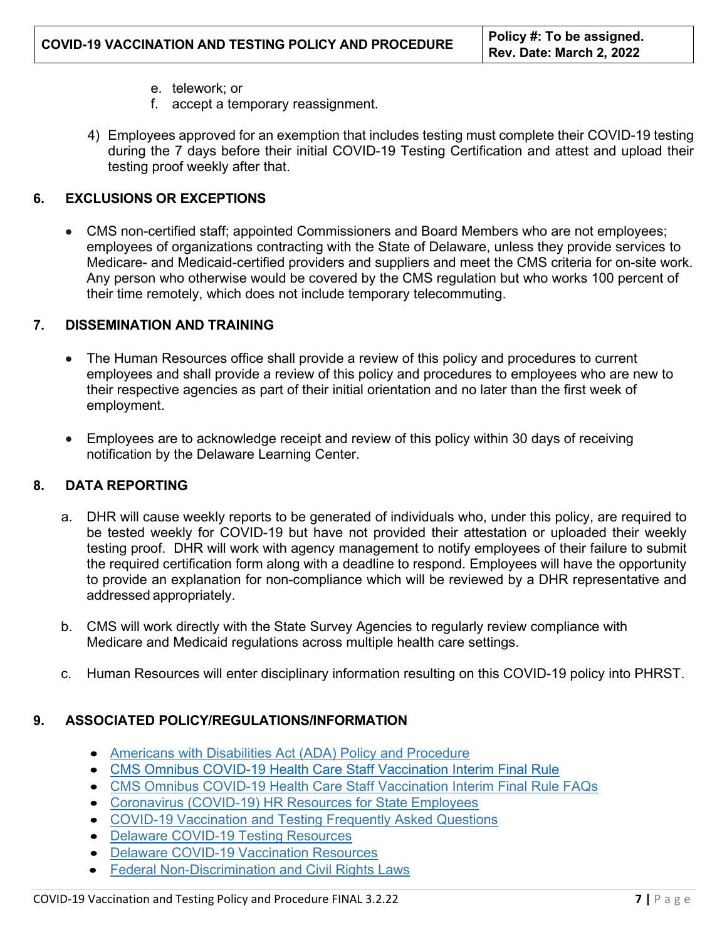- e. telework; or
- f. accept a temporary reassignment.
- 4) Employees approved for an exemption that includes testing must complete their COVID-19 testing during the 7 days before their initial COVID-19 Testing Certification and attest and upload their testing proof weekly after that.

### **6. EXCLUSIONS OR EXCEPTIONS**

• CMS non-certified staff; appointed Commissioners and Board Members who are not employees; employees of organizations contracting with the State of Delaware, unless they provide services to Medicare- and Medicaid-certified providers and suppliers and meet the CMS criteria for on-site work. Any person who otherwise would be covered by the CMS regulation but who works 100 percent of their time remotely, which does not include temporary telecommuting.

#### **7. DISSEMINATION AND TRAINING**

- The Human Resources office shall provide a review of this policy and procedures to current employees and shall provide a review of this policy and procedures to employees who are new to their respective agencies as part of their initial orientation and no later than the first week of employment.
- Employees are to acknowledge receipt and review of this policy within 30 days of receiving notification by the Delaware Learning Center.

### **8. DATA REPORTING**

- a. DHR will cause weekly reports to be generated of individuals who, under this policy, are required to be tested weekly for COVID-19 but have not provided their attestation or uploaded their weekly testing proof. DHR will work with agency management to notify employees of their failure to submit the required certification form along with a deadline to respond. Employees will have the opportunity to provide an explanation for non-compliance which will be reviewed by a DHR representative and addressed appropriately.
- b. CMS will work directly with the State Survey Agencies to regularly review compliance with Medicare and Medicaid regulations across multiple health care settings.
- c. Human Resources will enter disciplinary information resulting on this COVID-19 policy into PHRST.

### **9. ASSOCIATED POLICY/REGULATIONS/INFORMATION**

- [Americans with Disabilities Act \(ADA\) Policy and](https://dhr.delaware.gov/policies/documents/ada-policy.pdf) Procedure
- [CMS Omnibus COVID-19 Health Care Staff Vaccination Interim Final Rule](https://www.federalregister.gov/documents/2021/11/05/2021-23831/medicare-and-medicaid-programs-omnibus-covid-19-health-care-staff-vaccination)
- [CMS Omnibus COVID-19 Health Care Staff Vaccination Interim Final Rule FAQs](https://www.cms.gov/files/document/cms-omnibus-covid-19-health-care-staff-vaccination-requirements-2021.pdf)
- [Coronavirus \(COVID-19\) HR Resources for State](https://dhr.delaware.gov/covid19/index.shtml) Employees
- [COVID-19 Vaccination and Testing Frequently Asked](https://dhr.delaware.gov/policies/documents/covid19-vaccination-testing-faq.pdf) Questions
- [Delaware COVID-19 Testing](https://coronavirus.delaware.gov/testing/) Resources
- [Delaware COVID-19 Vaccination](https://coronavirus.delaware.gov/vaccine/) Resources
- [Federal Non-Discrimination and Civil Rights Laws](https://www.eeoc.gov/wysk/what-you-should-know-about-covid-19-and-ada-rehabilitation-act-and-other-eeo-laws)